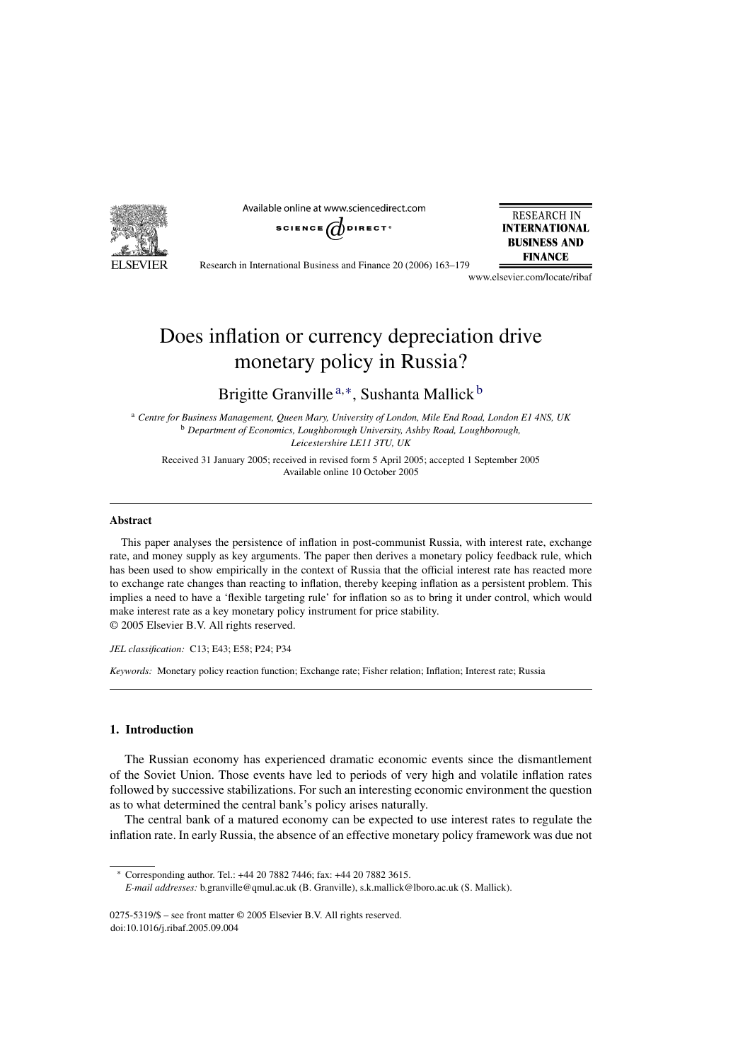

Available online at www.sciencedirect.com



**RESEARCH IN INTERNATIONAL BUSINESS AND FINANCE** 

Research in International Business and Finance 20 (2006) 163–179

www.elsevier.com/locate/ribaf

## Does inflation or currency depreciation drive monetary policy in Russia?

Brigitte Granville <sup>a</sup>,∗, Sushanta Mallick <sup>b</sup>

<sup>a</sup> *Centre for Business Management, Queen Mary, University of London, Mile End Road, London E1 4NS, UK* <sup>b</sup> *Department of Economics, Loughborough University, Ashby Road, Loughborough, Leicestershire LE11 3TU, UK*

Received 31 January 2005; received in revised form 5 April 2005; accepted 1 September 2005 Available online 10 October 2005

## **Abstract**

This paper analyses the persistence of inflation in post-communist Russia, with interest rate, exchange rate, and money supply as key arguments. The paper then derives a monetary policy feedback rule, which has been used to show empirically in the context of Russia that the official interest rate has reacted more to exchange rate changes than reacting to inflation, thereby keeping inflation as a persistent problem. This implies a need to have a 'flexible targeting rule' for inflation so as to bring it under control, which would make interest rate as a key monetary policy instrument for price stability.

© 2005 Elsevier B.V. All rights reserved.

*JEL classification:* C13; E43; E58; P24; P34

*Keywords:* Monetary policy reaction function; Exchange rate; Fisher relation; Inflation; Interest rate; Russia

## **1. Introduction**

The Russian economy has experienced dramatic economic events since the dismantlement of the Soviet Union. Those events have led to periods of very high and volatile inflation rates followed by successive stabilizations. For such an interesting economic environment the question as to what determined the central bank's policy arises naturally.

The central bank of a matured economy can be expected to use interest rates to regulate the inflation rate. In early Russia, the absence of an effective monetary policy framework was due not

∗ Corresponding author. Tel.: +44 20 7882 7446; fax: +44 20 7882 3615.

*E-mail addresses:* b.granville@qmul.ac.uk (B. Granville), s.k.mallick@lboro.ac.uk (S. Mallick).

<sup>0275-5319/\$ –</sup> see front matter © 2005 Elsevier B.V. All rights reserved. doi:10.1016/j.ribaf.2005.09.004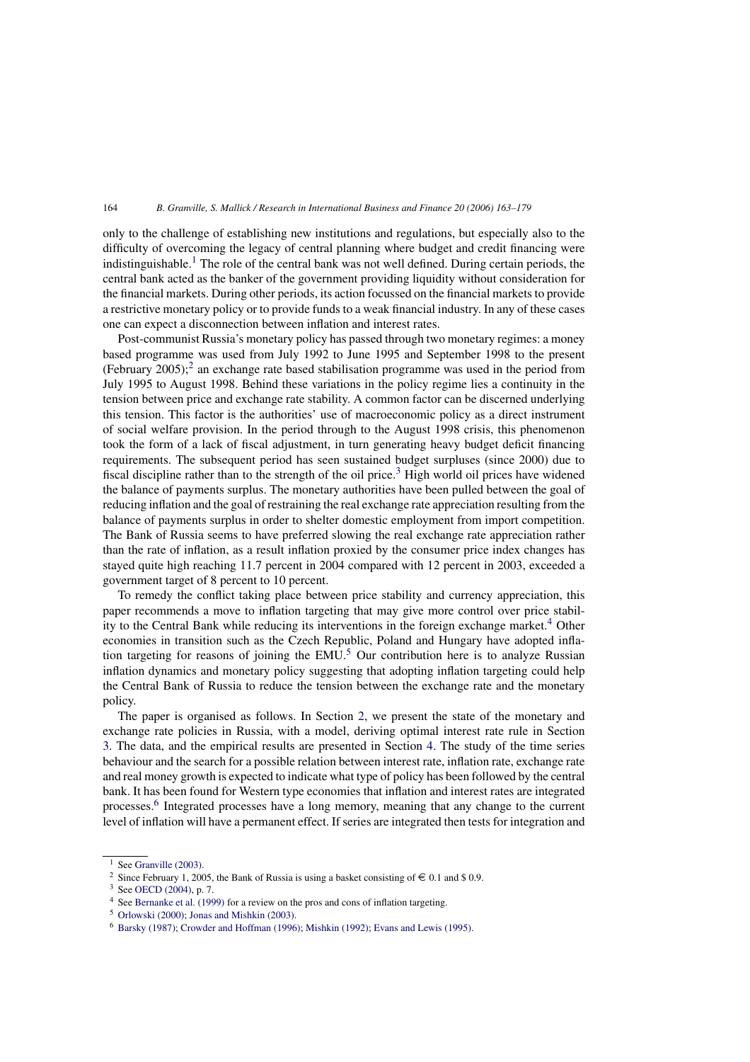only to the challenge of establishing new institutions and regulations, but especially also to the difficulty of overcoming the legacy of central planning where budget and credit financing were indistinguishable.<sup>1</sup> The role of the central bank was not well defined. During certain periods, the central bank acted as the banker of the government providing liquidity without consideration for the financial markets. During other periods, its action focussed on the financial markets to provide a restrictive monetary policy or to provide funds to a weak financial industry. In any of these cases one can expect a disconnection between inflation and interest rates.

Post-communist Russia's monetary policy has passed through two monetary regimes: a money based programme was used from July 1992 to June 1995 and September 1998 to the present (February 2005);<sup>2</sup> an exchange rate based stabilisation programme was used in the period from July 1995 to August 1998. Behind these variations in the policy regime lies a continuity in the tension between price and exchange rate stability. A common factor can be discerned underlying this tension. This factor is the authorities' use of macroeconomic policy as a direct instrument of social welfare provision. In the period through to the August 1998 crisis, this phenomenon took the form of a lack of fiscal adjustment, in turn generating heavy budget deficit financing requirements. The subsequent period has seen sustained budget surpluses (since 2000) due to fiscal discipline rather than to the strength of the oil price.<sup>3</sup> High world oil prices have widened the balance of payments surplus. The monetary authorities have been pulled between the goal of reducing inflation and the goal of restraining the real exchange rate appreciation resulting from the balance of payments surplus in order to shelter domestic employment from import competition. The Bank of Russia seems to have preferred slowing the real exchange rate appreciation rather than the rate of inflation, as a result inflation proxied by the consumer price index changes has stayed quite high reaching 11.7 percent in 2004 compared with 12 percent in 2003, exceeded a government target of 8 percent to 10 percent.

To remedy the conflict taking place between price stability and currency appreciation, this paper recommends a move to inflation targeting that may give more control over price stability to the Central Bank while reducing its interventions in the foreign exchange market.<sup>4</sup> Other economies in transition such as the Czech Republic, Poland and Hungary have adopted inflation targeting for reasons of joining the EMU.<sup>5</sup> Our contribution here is to analyze Russian inflation dynamics and monetary policy suggesting that adopting inflation targeting could help the Central Bank of Russia to reduce the tension between the exchange rate and the monetary policy.

The paper is organised as follows. In Section [2,](#page--1-0) we present the state of the monetary and exchange rate policies in Russia, with a model, deriving optimal interest rate rule in Section [3.](#page--1-0) The data, and the empirical results are presented in Section [4.](#page--1-0) The study of the time series behaviour and the search for a possible relation between interest rate, inflation rate, exchange rate and real money growth is expected to indicate what type of policy has been followed by the central bank. It has been found for Western type economies that inflation and interest rates are integrated processes.6 Integrated processes have a long memory, meaning that any change to the current level of inflation will have a permanent effect. If series are integrated then tests for integration and

<sup>&</sup>lt;sup>1</sup> See [Granville \(2003\).](#page--1-0)

<sup>&</sup>lt;sup>2</sup> Since February 1, 2005, the Bank of Russia is using a basket consisting of  $\in$  0.1 and \$ 0.9.

<sup>3</sup> See [OECD \(2004\), p](#page--1-0). 7.

<sup>4</sup> See [Bernanke et al. \(1999\)](#page--1-0) for a review on the pros and cons of inflation targeting.

<sup>5</sup> [Orlowski \(2000\);](#page--1-0) [Jonas and Mishkin \(2003\).](#page--1-0)

<sup>6</sup> [Barsky \(1987\);](#page--1-0) [Crowder and Hoffman \(1996\);](#page--1-0) [Mishkin \(1992\);](#page--1-0) [Evans and Lewis \(1995\).](#page--1-0)